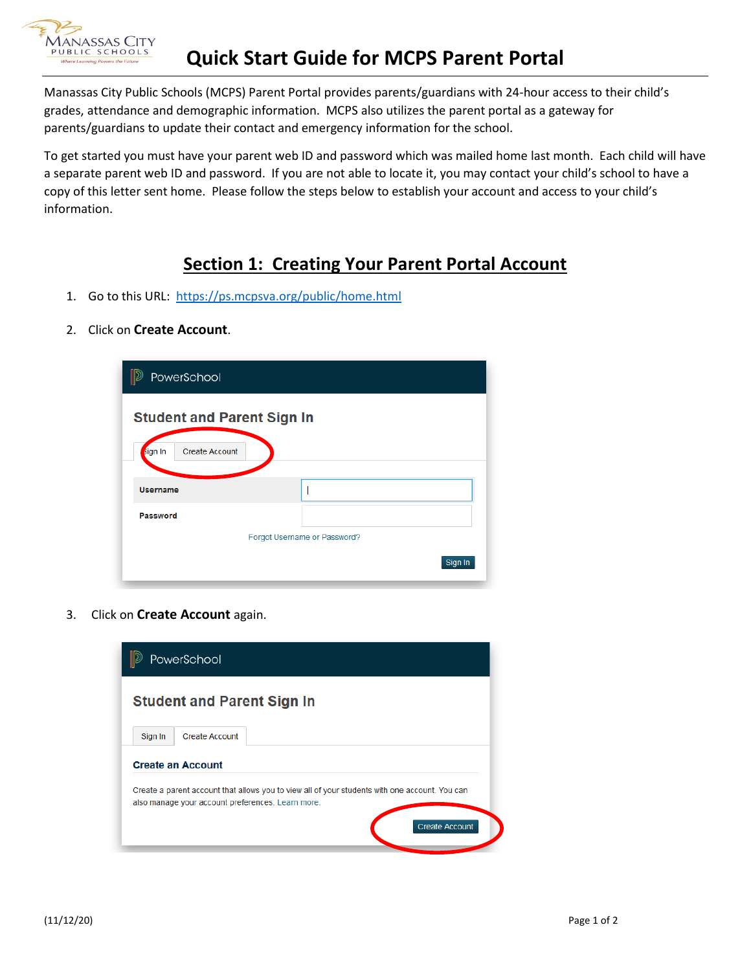

Manassas City Public Schools (MCPS) Parent Portal provides parents/guardians with 24-hour access to their child's grades, attendance and demographic information. MCPS also utilizes the parent portal as a gateway for parents/guardians to update their contact and emergency information for the school.

To get started you must have your parent web ID and password which was mailed home last month. Each child will have a separate parent web ID and password. If you are not able to locate it, you may contact your child's school to have a copy of this letter sent home. Please follow the steps below to establish your account and access to your child's information.

## **Section 1: Creating Your Parent Portal Account**

- 1. Go to this URL:<https://ps.mcpsva.org/public/home.html>
- 2. Click on **Create Account**.

| PowerSchool                      |                                   |         |
|----------------------------------|-----------------------------------|---------|
|                                  | <b>Student and Parent Sign In</b> |         |
| <b>Create Account</b><br>sign In |                                   |         |
| <b>Username</b>                  |                                   |         |
| Password                         |                                   |         |
|                                  | Forgot Username or Password?      |         |
|                                  |                                   | Sign In |

3. Click on **Create Account** again.

|                                   | PowerSchool                                                                                                                                         |  |  |  |
|-----------------------------------|-----------------------------------------------------------------------------------------------------------------------------------------------------|--|--|--|
| <b>Student and Parent Sign In</b> |                                                                                                                                                     |  |  |  |
| Sign In                           | <b>Create Account</b>                                                                                                                               |  |  |  |
|                                   | <b>Create an Account</b>                                                                                                                            |  |  |  |
|                                   | Create a parent account that allows you to view all of your students with one account. You can<br>also manage your account preferences. Learn more. |  |  |  |
|                                   | <b>Create Account</b>                                                                                                                               |  |  |  |